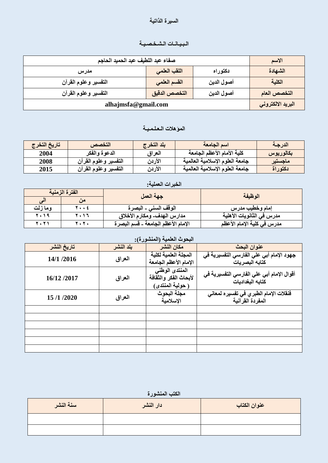#### السيرة الذاتي**ة**

# الـبـيـانـات الـشـخـصـيـة

| صفاء عبد اللطيف عبد الحميد الحاجم                   |              |            | الاسم             |
|-----------------------------------------------------|--------------|------------|-------------------|
| اللقب العلمى<br>دكتوراه<br>مدرس                     |              |            | الشهادة           |
| التفسير وعلوم القرآن                                | القسم العلمي | أصول الدين | الكلية            |
| التخصص الدقيق<br>أصول الدين<br>التفسير وعلوم القرآن |              |            | التخصص العام      |
| alhajmsfa@gmail.com                                 |              |            | البريد الالكتروني |

### الموّهلات الـعلـمـيـة

| تاريخ التخرج | التخصص               | بلد التخرج | اسم الجامعة                     | الدرجة    |
|--------------|----------------------|------------|---------------------------------|-----------|
| 2004         | الدعوة والفكر        | العراق     | كلية الأمام الأعظم الجامعة      | بكالوريوس |
| 2008         | التفسير وعلوم الفرآن | الأردن     | جامعة العلوم الإسلامية العالمية | ماجستير   |
| 2015         | التفسير وعلوم القرآن | الأردن     | جامعة العلوم الإسلامية العالمية | نكتوراة   |

| الخبرات العملية: |      |                                    |                            |  |
|------------------|------|------------------------------------|----------------------------|--|
| الفترة الزمنية   |      | جهة العمل                          | الوظيفة                    |  |
| الی              |      |                                    |                            |  |
| ومازلت           | 7 ٤  | الوقف السنى ـ البصرة               | إمام وخطيب مدرس            |  |
| 7.19             | 2017 | مدارس الهدف- ومكارم الأخلاق        | مدرس في الثانويات الأهلية  |  |
| 2021             | 2010 | الإمام الأعظم الجامعة ـ قسم البصرة | مدرس في كلية الإمام الأعظم |  |

| البحوث العلمية (المنشورة): |           |                                                             |                                                               |  |
|----------------------------|-----------|-------------------------------------------------------------|---------------------------------------------------------------|--|
| تاريخ النشر                | بلد النشر | مكان النشر                                                  | عنوان البحث                                                   |  |
| 14/1 /2016                 | العراق    | المجلة العلمية لكلية<br>الإمام الأعظم الجامعة               | جهود الإمام أبي علي الفارسي التفسيرية في<br>كتابه البصريات    |  |
| 16/12/2017                 | العراق    | المنتدى الوطني<br>لأبحاث الفكر والثقافة<br>( حولية المنتدى) | أقوال الإمام أبي علي الفارسي التفسيرية في<br>كتابه البغداديات |  |
| 15/1/2020                  | العراق    | مجلة البحوث<br>الاسلامية                                    | فَنْقلات الإمام الطبر ي في تفسير ه لمعاني<br>المفردة القرآنية |  |
|                            |           |                                                             |                                                               |  |
|                            |           |                                                             |                                                               |  |
|                            |           |                                                             |                                                               |  |

الكتب المنشورة

| سنة النشر | دار النشر | عنوان الكتاب |
|-----------|-----------|--------------|
|           |           |              |
|           |           |              |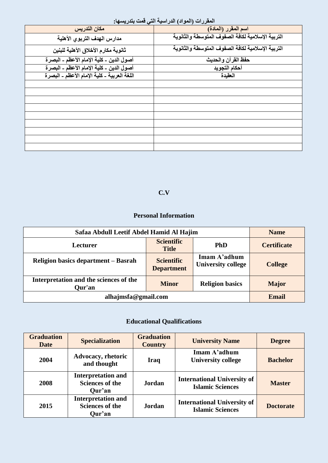| $-\frac{1}{2}$                              |                                                   |
|---------------------------------------------|---------------------------------------------------|
| مكان التدريس                                | اسم المقرر (المادة)                               |
| مدارس الهدف التربوي الأهلية                 | التربية الإسلامية لكافة الصفوف المتوسطة والثانوية |
| ثانوية مكارم الأخلاق الأهلية للبنين         | التربية الإسلامية لكافة الصفوف المتوسطة والثانوية |
| أصول الدين ـ كلية الإمام الأعظم ـ البصرة    | حفظ القرآن والحديث                                |
| أصول الدين ـ كلية الإمام الأعظم ـ البصرة    | أحكام التجويد                                     |
| اللغة العربية ـ كلية الإمام الأعظم ـ البصرة | العقيدة                                           |
|                                             |                                                   |
|                                             |                                                   |
|                                             |                                                   |
|                                             |                                                   |
|                                             |                                                   |
|                                             |                                                   |
|                                             |                                                   |
|                                             |                                                   |
|                                             |                                                   |

#### المقررات (المواد) الدراسية التي قمت بتدري*سها:*

# **C.V**

### **Personal Information**

| Safaa Abdull Leetif Abdel Hamid Al Hajim                         |                                        |                                           | <b>Name</b>        |
|------------------------------------------------------------------|----------------------------------------|-------------------------------------------|--------------------|
| <b>Lecturer</b>                                                  | <b>Scientific</b><br><b>Title</b>      | <b>PhD</b>                                | <b>Certificate</b> |
| Religion basics department – Basrah                              | <b>Scientific</b><br><b>Department</b> | Imam A'adhum<br><b>University college</b> | <b>College</b>     |
| Interpretation and the sciences of the<br><b>Minor</b><br>Our'an |                                        | <b>Religion basics</b>                    | <b>Major</b>       |
| alhajmsfa@gmail.com                                              |                                        |                                           | Email              |

# **Educational Qualifications**

| <b>Graduation</b><br><b>Date</b> | <b>Specialization</b>                                         | <b>Graduation</b><br><b>Country</b> | <b>University Name</b>                                        | <b>Degree</b>    |
|----------------------------------|---------------------------------------------------------------|-------------------------------------|---------------------------------------------------------------|------------------|
| 2004                             | <b>Advocacy, rhetoric</b><br>and thought                      | Iraq                                | Imam A'adhum<br><b>University college</b>                     | <b>Bachelor</b>  |
| 2008                             | <b>Interpretation and</b><br><b>Sciences of the</b><br>Qur'an | <b>Jordan</b>                       | <b>International University of</b><br><b>Islamic Sciences</b> | <b>Master</b>    |
| 2015                             | <b>Interpretation and</b><br><b>Sciences of the</b><br>Qur'an | <b>Jordan</b>                       | <b>International University of</b><br><b>Islamic Sciences</b> | <b>Doctorate</b> |